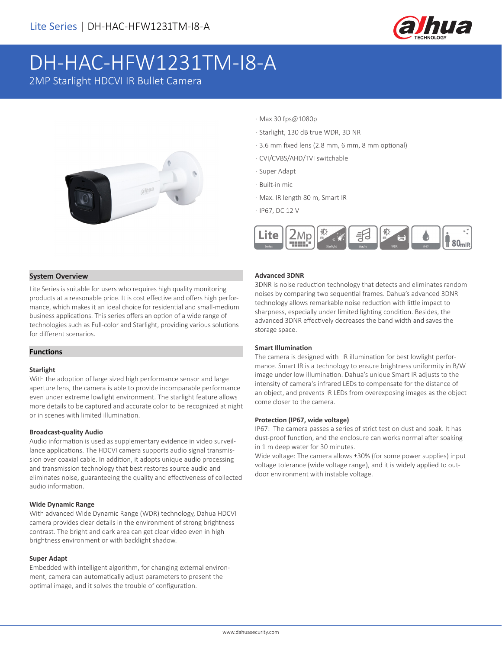

# DH-HAC-HFW1231TM-I8-A

2MP Starlight HDCVI IR Bullet Camera



- · Max 30 fps@1080p
- · Starlight, 130 dB true WDR, 3D NR
- · 3.6 mm fixed lens (2.8 mm, 6 mm, 8 mm optional)
- · CVI/CVBS/AHD/TVI switchable
- · Super Adapt
- · Built-in mic
- · Max. IR length 80 m, Smart IR
- · IP67, DC 12 V



#### **System Overview**

Lite Series is suitable for users who requires high quality monitoring products at a reasonable price. It is cost effective and offers high performance, which makes it an ideal choice for residential and small-medium business applications. This series offers an option of a wide range of technologies such as Full-color and Starlight, providing various solutions for different scenarios.

#### **Functions**

#### **Starlight**

With the adoption of large sized high performance sensor and large aperture lens, the camera is able to provide incomparable performance even under extreme lowlight environment. The starlight feature allows more details to be captured and accurate color to be recognized at night or in scenes with limited illumination.

#### **Broadcast-quality Audio**

Audio information is used as supplementary evidence in video surveillance applications. The HDCVI camera supports audio signal transmission over coaxial cable. In addition, it adopts unique audio processing and transmission technology that best restores source audio and eliminates noise, guaranteeing the quality and effectiveness of collected audio information.

#### **Wide Dynamic Range**

With advanced Wide Dynamic Range (WDR) technology, Dahua HDCVI camera provides clear details in the environment of strong brightness contrast. The bright and dark area can get clear video even in high brightness environment or with backlight shadow.

#### **Super Adapt**

Embedded with intelligent algorithm, for changing external environment, camera can automatically adjust parameters to present the optimal image, and it solves the trouble of configuration.

#### **Advanced 3DNR**

3DNR is noise reduction technology that detects and eliminates random noises by comparing two sequential frames. Dahua's advanced 3DNR technology allows remarkable noise reduction with little impact to sharpness, especially under limited lighting condition. Besides, the advanced 3DNR effectively decreases the band width and saves the storage space.

#### **Smart Illumination**

The camera is designed with IR illumination for best lowlight performance. Smart IR is a technology to ensure brightness uniformity in B/W image under low illumination. Dahua's unique Smart IR adjusts to the intensity of camera's infrared LEDs to compensate for the distance of an object, and prevents IR LEDs from overexposing images as the object come closer to the camera.

#### **Protection (IP67, wide voltage)**

IP67: The camera passes a series of strict test on dust and soak. It has dust-proof function, and the enclosure can works normal after soaking in 1 m deep water for 30 minutes.

Wide voltage: The camera allows ±30% (for some power supplies) input voltage tolerance (wide voltage range), and it is widely applied to outdoor environment with instable voltage.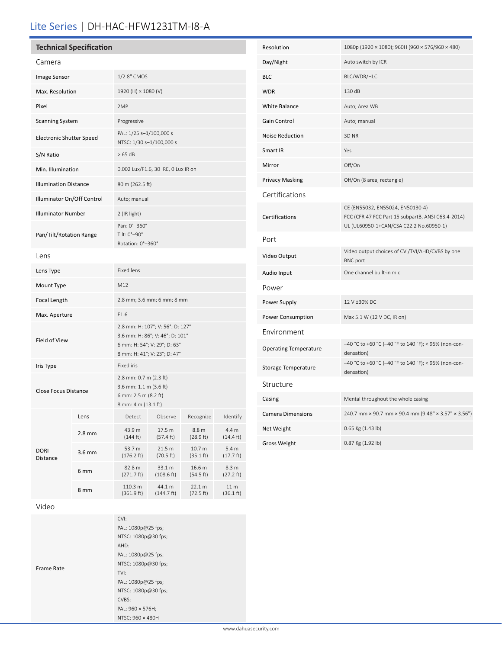# Lite Series | DH-HAC-HFW1231TM-I8-A

#### Camera

| Camera                       |        |                                                                                                                                     |                      |                     |                               |
|------------------------------|--------|-------------------------------------------------------------------------------------------------------------------------------------|----------------------|---------------------|-------------------------------|
| Image Sensor                 |        | 1/2.8" CMOS                                                                                                                         |                      |                     |                               |
| Max. Resolution              |        | 1920 (H) × 1080 (V)                                                                                                                 |                      |                     |                               |
| Pixel                        |        | 2MP                                                                                                                                 |                      |                     |                               |
| <b>Scanning System</b>       |        | Progressive                                                                                                                         |                      |                     |                               |
| Electronic Shutter Speed     |        | PAL: 1/25 s-1/100,000 s<br>NTSC: 1/30 s-1/100,000 s                                                                                 |                      |                     |                               |
| S/N Ratio                    |        | >65 dB                                                                                                                              |                      |                     |                               |
| Min. Illumination            |        | 0.002 Lux/F1.6, 30 IRE, 0 Lux IR on                                                                                                 |                      |                     |                               |
| <b>Illumination Distance</b> |        | 80 m (262.5 ft)                                                                                                                     |                      |                     |                               |
| Illuminator On/Off Control   |        | Auto; manual                                                                                                                        |                      |                     |                               |
| <b>Illuminator Number</b>    |        | 2 (IR light)                                                                                                                        |                      |                     |                               |
| Pan/Tilt/Rotation Range      |        | Pan: 0°-360°<br>Tilt: 0°-90°<br>Rotation: 0°-360°                                                                                   |                      |                     |                               |
| Lens                         |        |                                                                                                                                     |                      |                     |                               |
| Lens Type                    |        | <b>Fixed lens</b>                                                                                                                   |                      |                     |                               |
| Mount Type                   |        | M12                                                                                                                                 |                      |                     |                               |
| Focal Length                 |        | 2.8 mm; 3.6 mm; 6 mm; 8 mm                                                                                                          |                      |                     |                               |
| Max. Aperture                |        | F1.6                                                                                                                                |                      |                     |                               |
| Field of View                |        | 2.8 mm: H: 107°; V: 56°; D: 127°<br>3.6 mm: H: 86°; V: 46°; D: 101°<br>6 mm: H: 54°; V: 29°; D: 63°<br>8 mm: H: 41°; V: 23°; D: 47° |                      |                     |                               |
| Iris Type                    |        | Fixed iris                                                                                                                          |                      |                     |                               |
| <b>Close Focus Distance</b>  |        | 2.8 mm: 0.7 m (2.3 ft)<br>3.6 mm: 1.1 m (3.6 ft)<br>6 mm: 2.5 m (8.2 ft)<br>8 mm: 4 m (13.1 ft)                                     |                      |                     |                               |
| <b>DORI</b><br>Distance      | Lens   | Detect                                                                                                                              | Observe              | Recognize           | Identify                      |
|                              | 2.8 mm | 43.9 m<br>(144 ft)                                                                                                                  | 17.5 m<br>(57.4 ft)  | 8.8 m<br>(28.9 ft)  | 4.4 m<br>$(14.4 \text{ ft})$  |
|                              | 3.6 mm | 53.7 m<br>(176.2 ft)                                                                                                                | 21.5 m<br>(70.5 ft)  | 10.7 m<br>(35.1 ft) | 5.4 <sub>m</sub><br>(17.7 ft) |
|                              | 6 mm   | 82.8 m<br>(271.7 ft)                                                                                                                | 33.1 m<br>(108.6 ft) | 16.6 m<br>(54.5 ft) | 8.3 m<br>(27.2 ft)            |
|                              | 8 mm   | 110.3 m<br>(361.9 ft)                                                                                                               | 44.1 m<br>(144.7 ft) | 22.1 m<br>(72.5 ft) | 11 m<br>(36.1 ft)             |

| Resolution                   | 1080p (1920 × 1080); 960H (960 × 576/960 × 480)                                                                                   |  |  |  |  |
|------------------------------|-----------------------------------------------------------------------------------------------------------------------------------|--|--|--|--|
| Day/Night                    | Auto switch by ICR                                                                                                                |  |  |  |  |
| <b>BLC</b>                   | BLC/WDR/HLC                                                                                                                       |  |  |  |  |
| WDR                          | 130 dB                                                                                                                            |  |  |  |  |
| <b>White Balance</b>         | Auto; Area WB                                                                                                                     |  |  |  |  |
| Gain Control                 | Auto; manual                                                                                                                      |  |  |  |  |
| <b>Noise Reduction</b>       | 3D <sub>NR</sub>                                                                                                                  |  |  |  |  |
| Smart IR                     | Yes                                                                                                                               |  |  |  |  |
| Mirror                       | Off/On                                                                                                                            |  |  |  |  |
| <b>Privacy Masking</b>       | Off/On (8 area, rectangle)                                                                                                        |  |  |  |  |
| Certifications               |                                                                                                                                   |  |  |  |  |
| Certifications               | CE (EN55032, EN55024, EN50130-4)<br>FCC (CFR 47 FCC Part 15 subpartB, ANSI C63.4-2014)<br>UL (UL60950-1+CAN/CSA C22.2 No.60950-1) |  |  |  |  |
| Port                         |                                                                                                                                   |  |  |  |  |
| Video Output                 | Video output choices of CVI/TVI/AHD/CVBS by one<br><b>BNC</b> port                                                                |  |  |  |  |
| Audio Input                  | One channel built-in mic                                                                                                          |  |  |  |  |
| Power                        |                                                                                                                                   |  |  |  |  |
| Power Supply                 | 12 V ±30% DC                                                                                                                      |  |  |  |  |
| Power Consumption            | Max 5.1 W (12 V DC, IR on)                                                                                                        |  |  |  |  |
| Environment                  |                                                                                                                                   |  |  |  |  |
| <b>Operating Temperature</b> | -40 °C to +60 °C (-40 °F to 140 °F); < 95% (non-con-<br>densation)                                                                |  |  |  |  |
| Storage Temperature          | -40 °C to +60 °C (-40 °F to 140 °F); < 95% (non-con-<br>densation)                                                                |  |  |  |  |
| Structure                    |                                                                                                                                   |  |  |  |  |
| Casing                       | Mental throughout the whole casing                                                                                                |  |  |  |  |
| <b>Camera Dimensions</b>     | 240.7 mm × 90.7 mm × 90.4 mm (9.48" × 3.57" × 3.56")                                                                              |  |  |  |  |
| Net Weight                   | 0.65 Kg (1.43 lb)                                                                                                                 |  |  |  |  |
| <b>Gross Weight</b>          | 0.87 Kg (1.92 lb)                                                                                                                 |  |  |  |  |

### Video

|            | CVI:                |
|------------|---------------------|
|            | PAL: 1080p@25 fps;  |
|            | NTSC: 1080p@30 fps; |
|            | AHD:                |
|            | PAL: 1080p@25 fps;  |
| Frame Rate | NTSC: 1080p@30 fps; |
|            | TVI:                |
|            | PAL: 1080p@25 fps;  |
|            | NTSC: 1080p@30 fps; |
|            | CVBS:               |
|            | PAL: 960 × 576H;    |
|            | NTSC: 960 × 480H    |